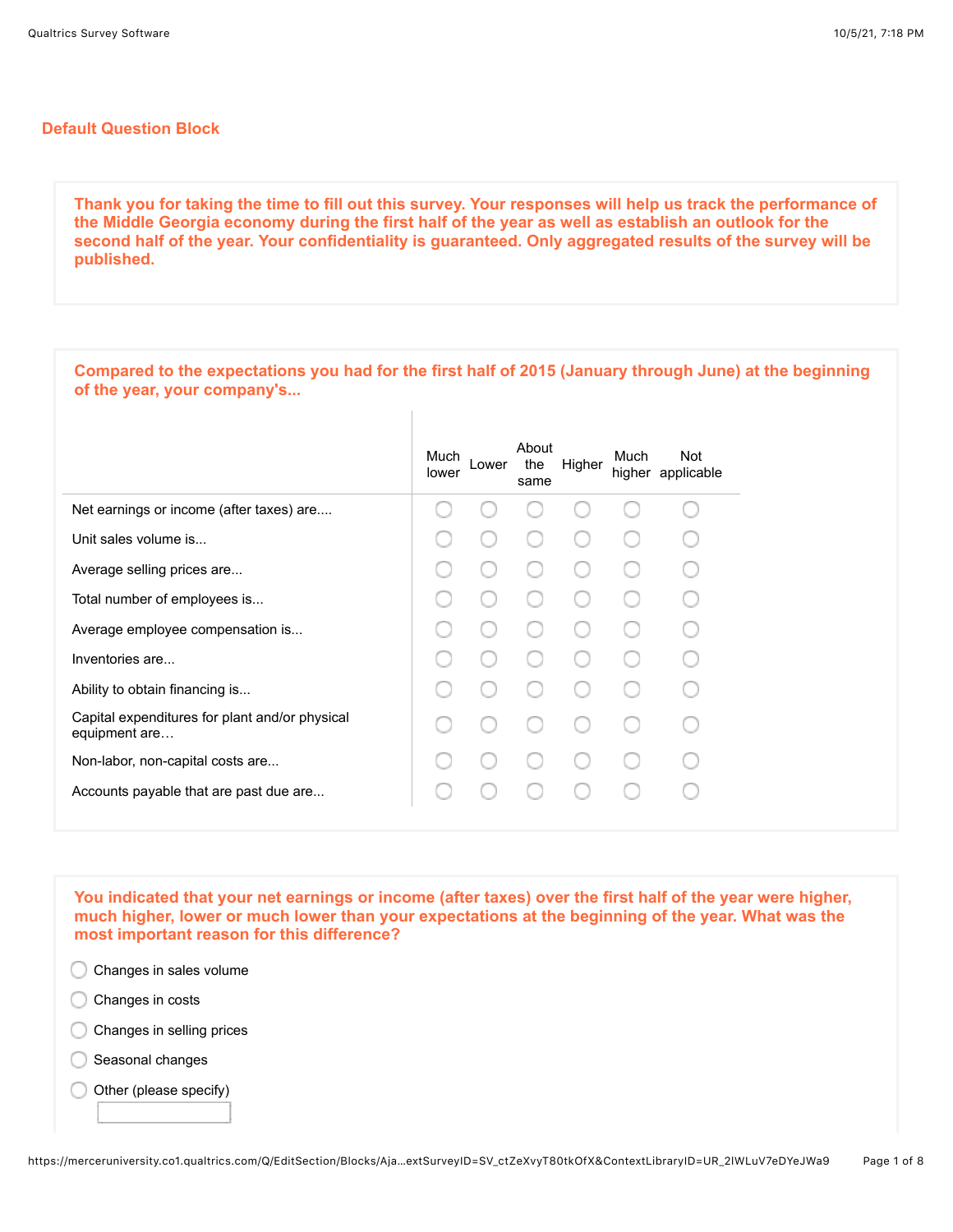## **Default Question Block**

**Thank you for taking the time to fill out this survey. Your responses will help us track the performance of the Middle Georgia economy during the first half of the year as well as establish an outlook for the second half of the year. Your confidentiality is guaranteed. Only aggregated results of the survey will be published.**

| Compared to the expectations you had for the first half of 2015 (January through June) at the beginning<br>of the year, your company's |  |  |  |  |
|----------------------------------------------------------------------------------------------------------------------------------------|--|--|--|--|
| About<br><b>Not</b><br>Much<br>Much<br>Lower<br>the<br>Higher<br>higher applicable<br>lower<br>same                                    |  |  |  |  |
| Net earnings or income (after taxes) are                                                                                               |  |  |  |  |
| Unit sales volume is                                                                                                                   |  |  |  |  |
| Average selling prices are                                                                                                             |  |  |  |  |
| Total number of employees is                                                                                                           |  |  |  |  |
| Average employee compensation is                                                                                                       |  |  |  |  |
| Inventories are                                                                                                                        |  |  |  |  |
| Ability to obtain financing is                                                                                                         |  |  |  |  |
| Capital expenditures for plant and/or physical<br>equipment are                                                                        |  |  |  |  |
| Non-labor, non-capital costs are                                                                                                       |  |  |  |  |
| Accounts payable that are past due are                                                                                                 |  |  |  |  |

**You indicated that your net earnings or income (after taxes) over the first half of the year were higher, much higher, lower or much lower than your expectations at the beginning of the year. What was the most important reason for this difference?** 



- C Changes in costs
- C Changes in selling prices
- C Seasonal changes
- Other (please specify) C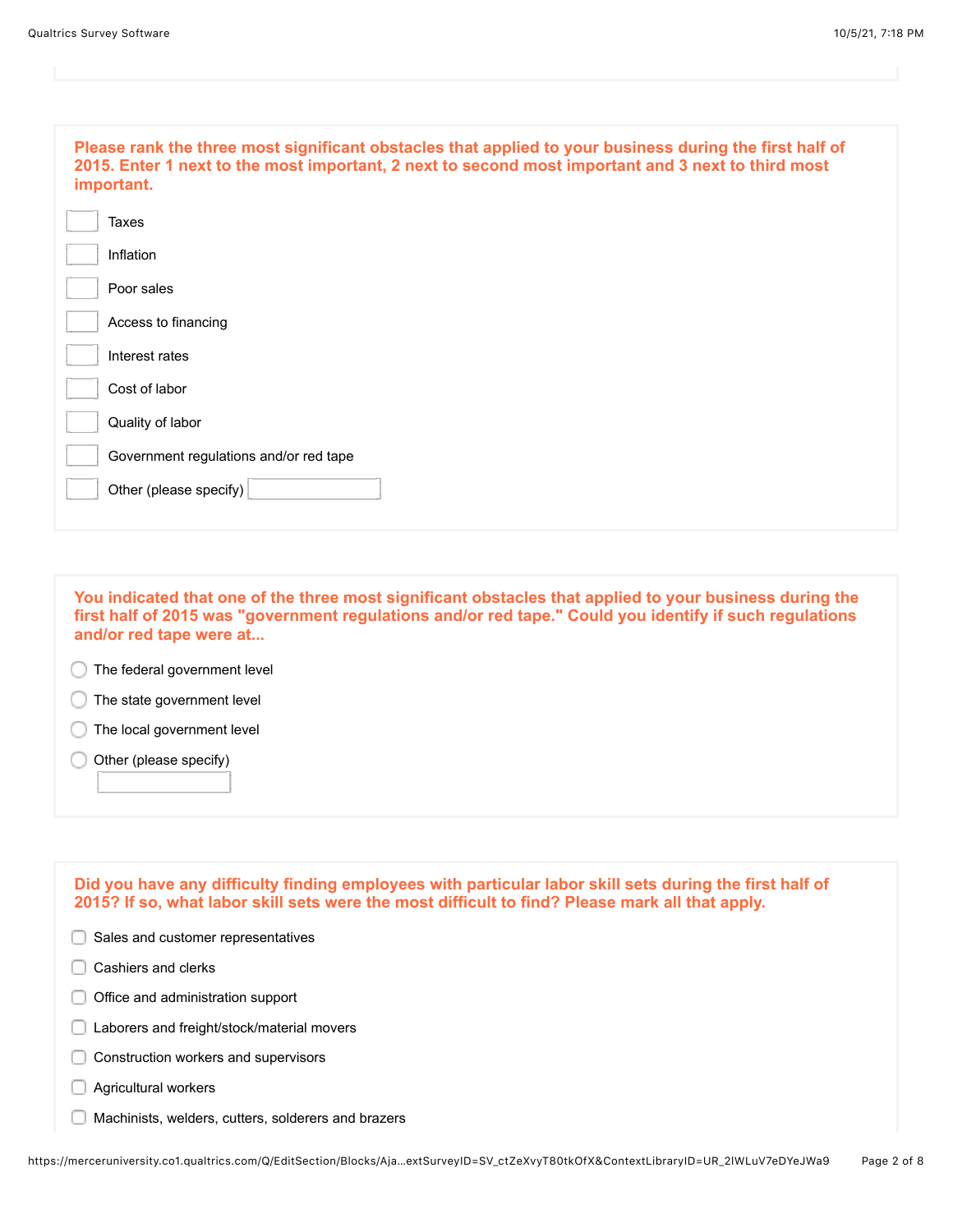| Please rank the three most significant obstacles that applied to your business during the first half of<br>2015. Enter 1 next to the most important, 2 next to second most important and 3 next to third most<br>important. |
|-----------------------------------------------------------------------------------------------------------------------------------------------------------------------------------------------------------------------------|
| Taxes                                                                                                                                                                                                                       |
| Inflation                                                                                                                                                                                                                   |
| Poor sales                                                                                                                                                                                                                  |
| Access to financing                                                                                                                                                                                                         |
| Interest rates                                                                                                                                                                                                              |
| Cost of labor                                                                                                                                                                                                               |
| Quality of labor                                                                                                                                                                                                            |
| Government regulations and/or red tape                                                                                                                                                                                      |
| Other (please specify)                                                                                                                                                                                                      |
|                                                                                                                                                                                                                             |

**You indicated that one of the three most significant obstacles that applied to your business during the first half of 2015 was "government regulations and/or red tape." Could you identify if such regulations and/or red tape were at...**

**The federal government level** 

**The state government level** 

The local government level

Other (please specify)

| Did you have any difficulty finding employees with particular labor skill sets during the first half of<br>2015? If so, what labor skill sets were the most difficult to find? Please mark all that apply. |
|------------------------------------------------------------------------------------------------------------------------------------------------------------------------------------------------------------|
| Sales and customer representatives                                                                                                                                                                         |
| Cashiers and clerks                                                                                                                                                                                        |
| Office and administration support                                                                                                                                                                          |
| Laborers and freight/stock/material movers                                                                                                                                                                 |
| Construction workers and supervisors                                                                                                                                                                       |
| Agricultural workers                                                                                                                                                                                       |
| Machinists, welders, cutters, solderers and brazers                                                                                                                                                        |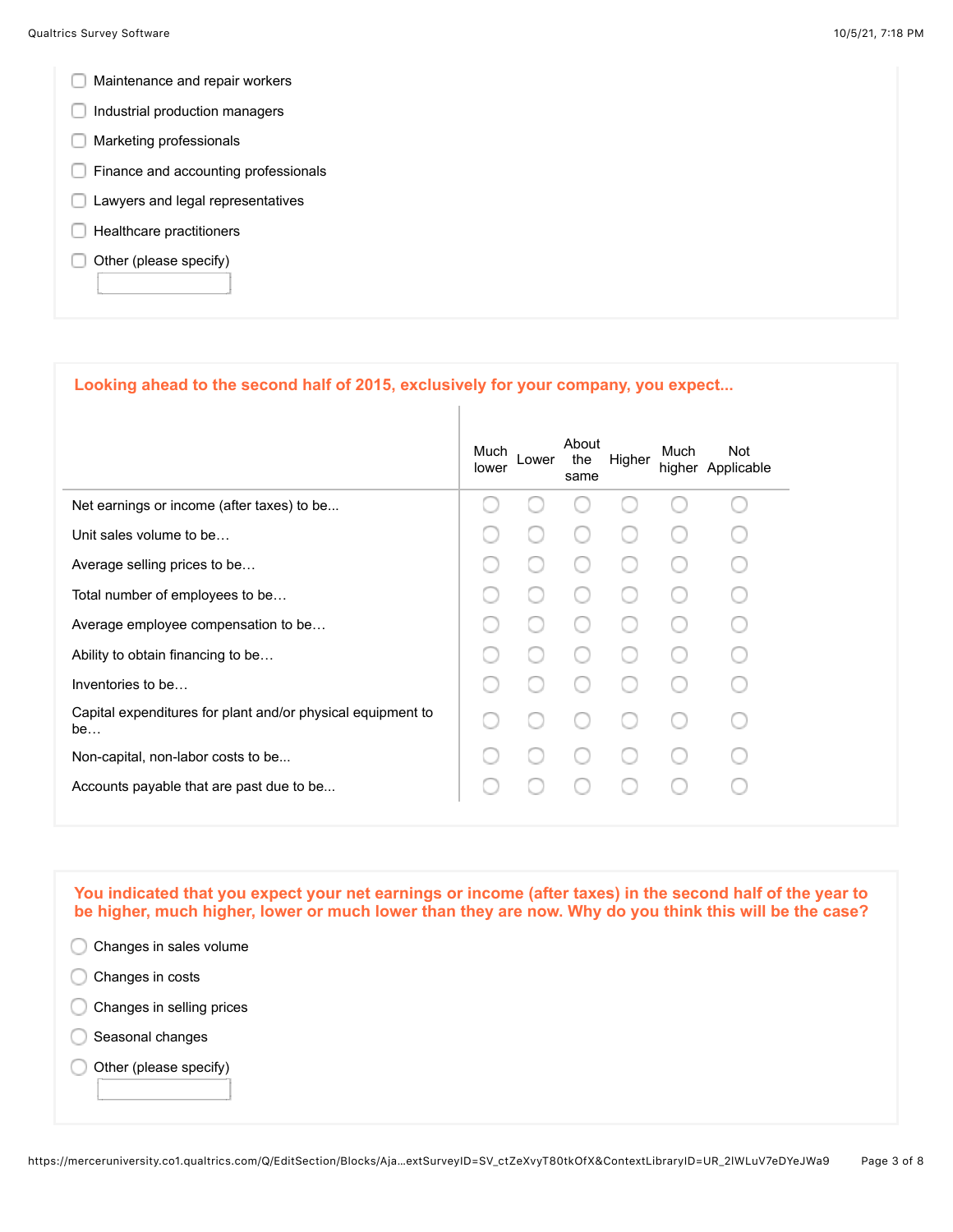- **Maintenance and repair workers**
- Industrial production managers
- **Marketing professionals**
- **Finance and accounting professionals**
- **Lawyers and legal representatives**
- $\Box$  Healthcare practitioners
- $\Box$  Other (please specify)

## **Looking ahead to the second half of 2015, exclusively for your company, you expect...**

|                                                                   | Much<br>lower | _ower | About<br>the<br>same | Higher | Much | Not<br>higher Applicable |
|-------------------------------------------------------------------|---------------|-------|----------------------|--------|------|--------------------------|
| Net earnings or income (after taxes) to be                        |               |       |                      |        |      |                          |
| Unit sales volume to be                                           |               |       |                      |        |      |                          |
| Average selling prices to be                                      |               |       |                      |        |      |                          |
| Total number of employees to be                                   |               |       |                      |        |      |                          |
| Average employee compensation to be                               |               |       |                      |        |      |                          |
| Ability to obtain financing to be                                 |               |       |                      |        |      |                          |
| Inventories to be                                                 |               |       |                      |        |      |                          |
| Capital expenditures for plant and/or physical equipment to<br>be |               |       |                      |        |      |                          |
| Non-capital, non-labor costs to be                                |               |       |                      |        |      |                          |
| Accounts payable that are past due to be                          |               |       |                      |        |      |                          |
|                                                                   |               |       |                      |        |      |                          |

**You indicated that you expect your net earnings or income (after taxes) in the second half of the year to be higher, much higher, lower or much lower than they are now. Why do you think this will be the case?** 

- C Changes in sales volume
- Changes in costs
- Changes in selling prices
- C Seasonal changes
- Other (please specify)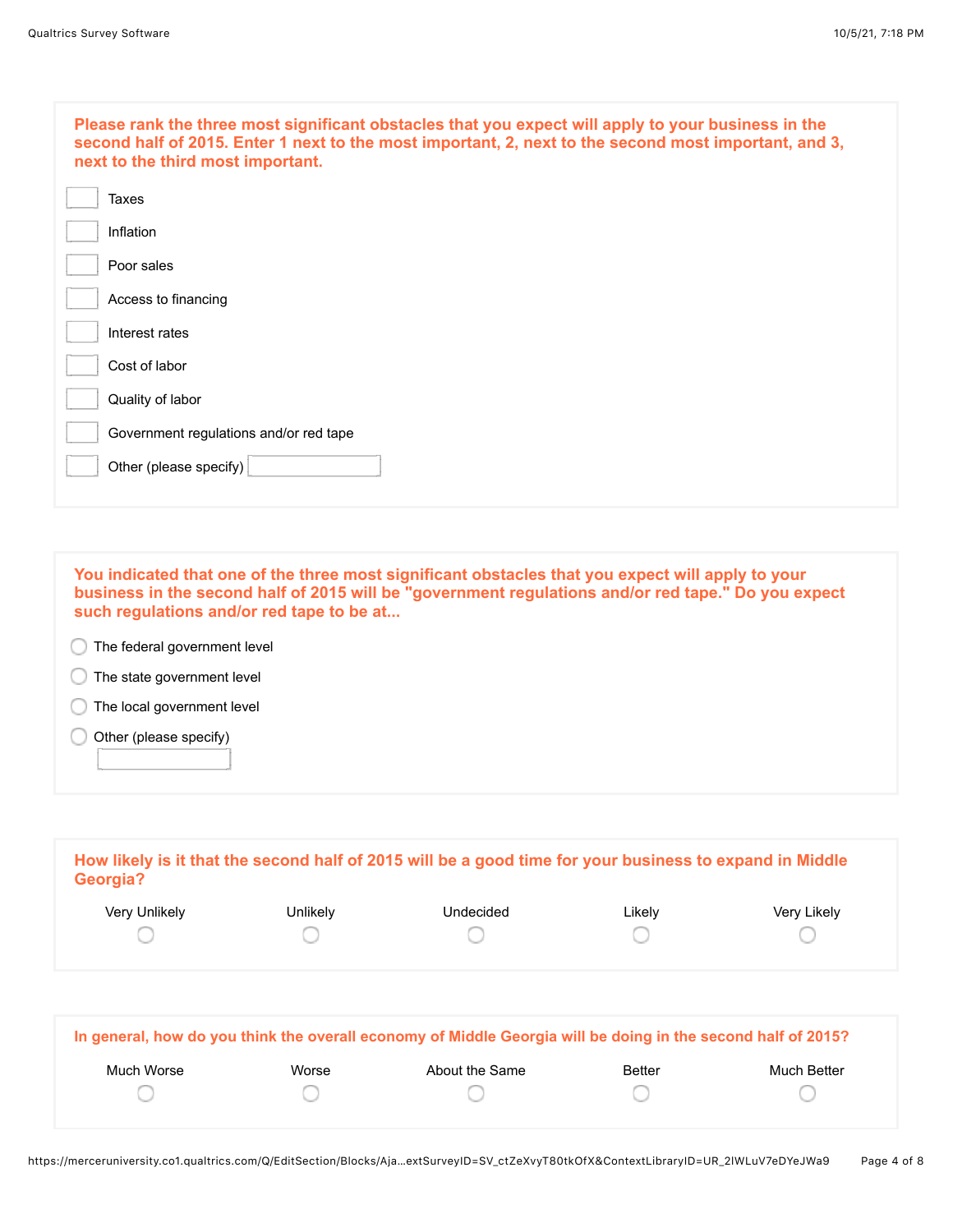| Please rank the three most significant obstacles that you expect will apply to your business in the<br>second half of 2015. Enter 1 next to the most important, 2, next to the second most important, and 3,<br>next to the third most important. |
|---------------------------------------------------------------------------------------------------------------------------------------------------------------------------------------------------------------------------------------------------|
| Taxes                                                                                                                                                                                                                                             |
| Inflation                                                                                                                                                                                                                                         |
| Poor sales                                                                                                                                                                                                                                        |
| Access to financing                                                                                                                                                                                                                               |
| Interest rates                                                                                                                                                                                                                                    |
| Cost of labor                                                                                                                                                                                                                                     |
| Quality of labor                                                                                                                                                                                                                                  |
| Government regulations and/or red tape                                                                                                                                                                                                            |
| Other (please specify)                                                                                                                                                                                                                            |
|                                                                                                                                                                                                                                                   |

**You indicated that one of the three most significant obstacles that you expect will apply to your business in the second half of 2015 will be "government regulations and/or red tape." Do you expect such regulations and/or red tape to be at...**

The federal government level

**The state government level** 

The local government level

 $\bigcirc$  Other (please specify)

| Georgia?      |          | How likely is it that the second half of 2015 will be a good time for your business to expand in Middle |        |             |
|---------------|----------|---------------------------------------------------------------------------------------------------------|--------|-------------|
| Very Unlikely | Unlikely | Undecided                                                                                               | ∟ikely | Very Likely |
|               |          |                                                                                                         |        |             |
|               |          |                                                                                                         |        |             |

| In general, how do you think the overall economy of Middle Georgia will be doing in the second half of 2015? |       |                |        |             |
|--------------------------------------------------------------------------------------------------------------|-------|----------------|--------|-------------|
| Much Worse                                                                                                   | Worse | About the Same | Better | Much Better |
|                                                                                                              |       |                |        |             |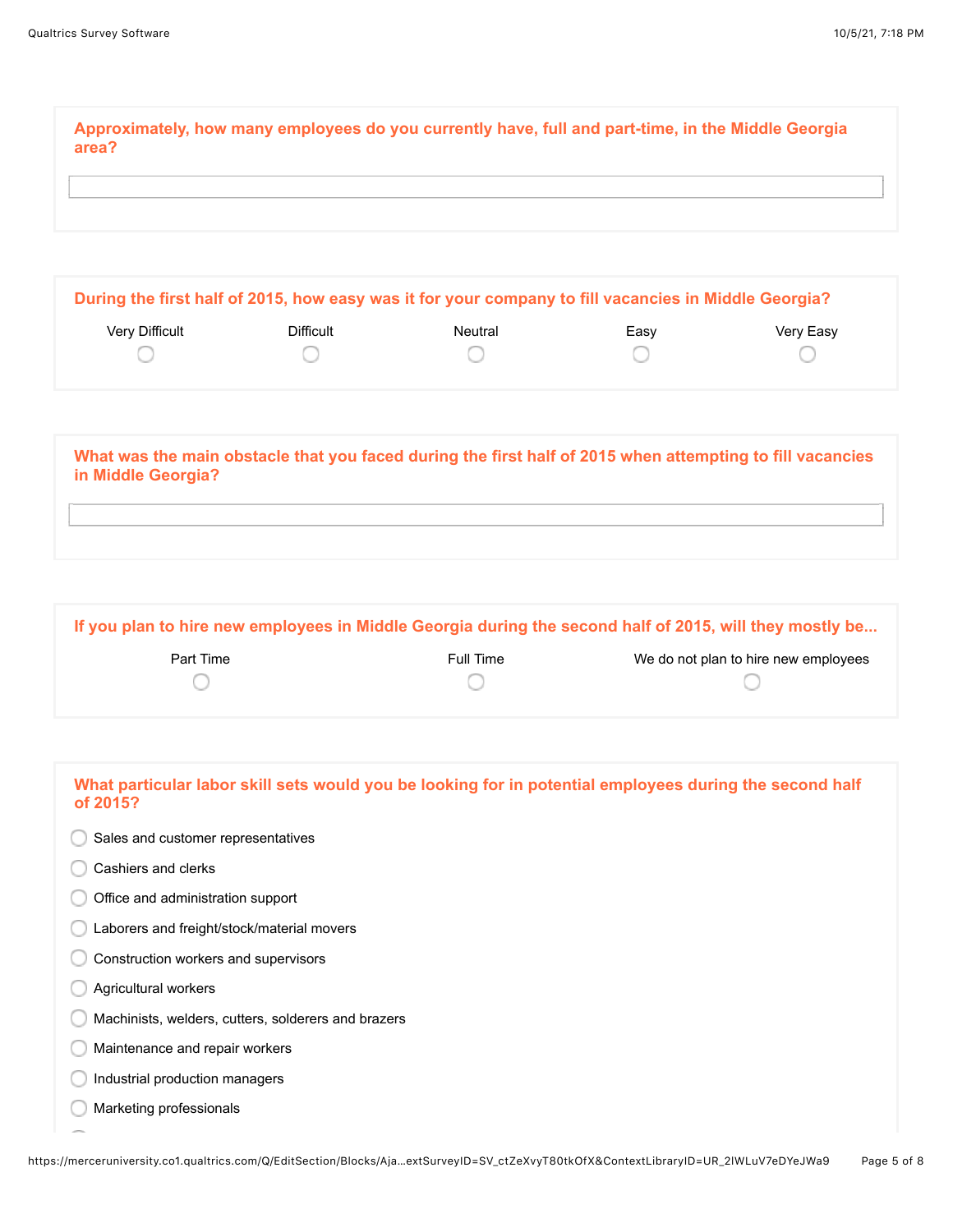**Approximately, how many employees do you currently have, full and part-time, in the Middle Georgia area?**

| During the first half of 2015, how easy was it for your company to fill vacancies in Middle Georgia? |           |         |      |           |
|------------------------------------------------------------------------------------------------------|-----------|---------|------|-----------|
| Verv Difficult                                                                                       | Difficult | Neutral | Easv | Very Easy |
|                                                                                                      |           |         |      |           |

| What was the main obstacle that you faced during the first half of 2015 when attempting to fill vacancies<br>in Middle Georgia? |  |
|---------------------------------------------------------------------------------------------------------------------------------|--|
|                                                                                                                                 |  |

| If you plan to hire new employees in Middle Georgia during the second half of 2015, will they mostly be |           |                                      |  |
|---------------------------------------------------------------------------------------------------------|-----------|--------------------------------------|--|
| Part Time                                                                                               | Full Time | We do not plan to hire new employees |  |
|                                                                                                         |           |                                      |  |

| What particular labor skill sets would you be looking for in potential employees during the second half<br>of 2015? |
|---------------------------------------------------------------------------------------------------------------------|
| Sales and customer representatives                                                                                  |
| Cashiers and clerks                                                                                                 |
| Office and administration support                                                                                   |
| Laborers and freight/stock/material movers                                                                          |
| Construction workers and supervisors                                                                                |
| Agricultural workers                                                                                                |
| Machinists, welders, cutters, solderers and brazers                                                                 |
| Maintenance and repair workers                                                                                      |
| Industrial production managers                                                                                      |
| Marketing professionals                                                                                             |
|                                                                                                                     |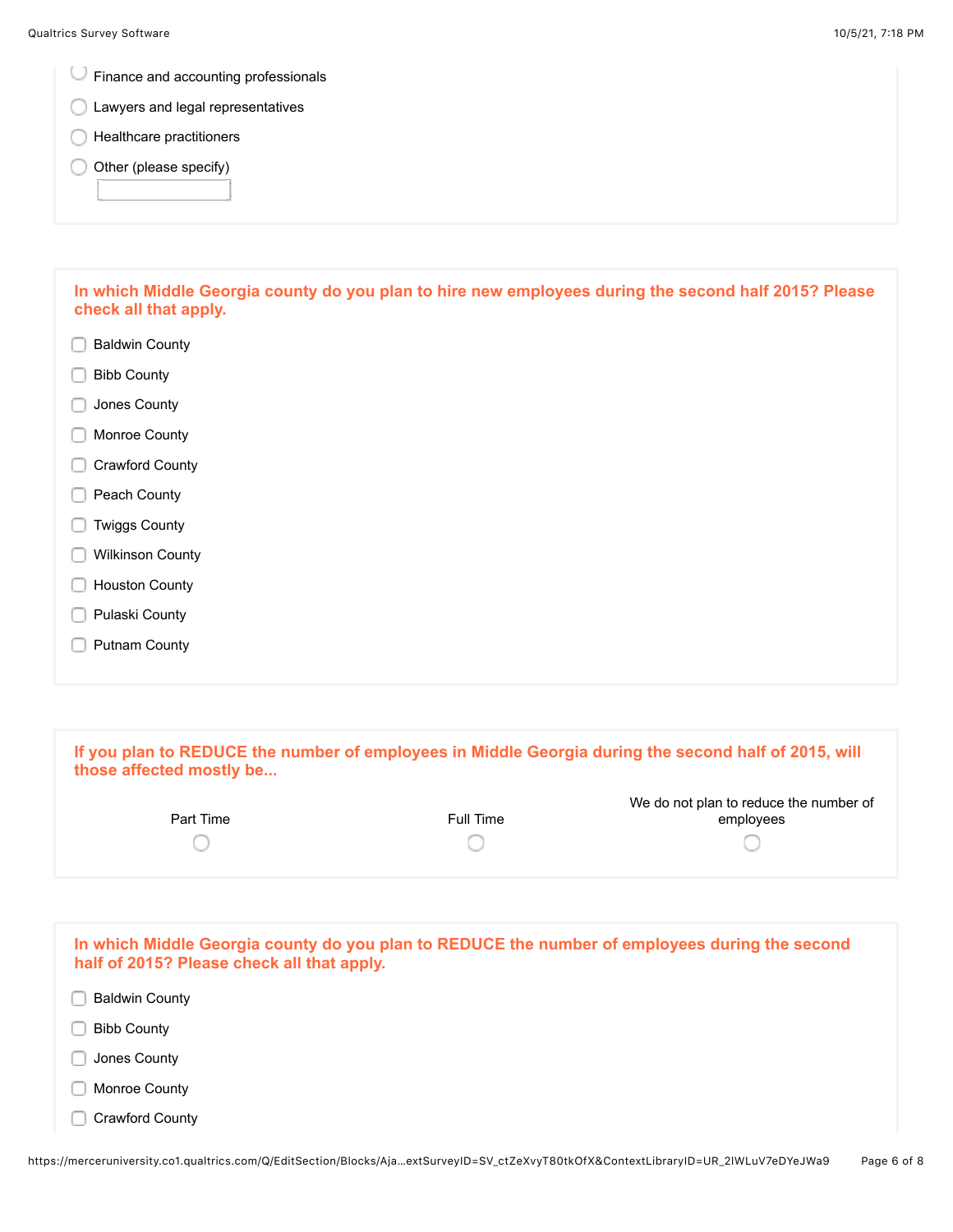Finance and accounting professionals

- Lawyers and legal representatives
- **C** Healthcare practitioners
- Other (please specify)

**In which Middle Georgia county do you plan to hire new employees during the second half 2015? Please check all that apply.**

- Baldwin County
- Bibb County
- **Jones County**
- **Monroe County**
- Crawford County
- Peach County
- **Twiggs County**
- **Wilkinson County**
- **Houston County**
- **Pulaski County**
- **Putnam County**

| those affected mostly be                               |           | If you plan to REDUCE the number of employees in Middle Georgia during the second half of 2015, will |
|--------------------------------------------------------|-----------|------------------------------------------------------------------------------------------------------|
| Part Time                                              | Full Time | We do not plan to reduce the number of<br>employees                                                  |
|                                                        |           |                                                                                                      |
| half of 2015? Please check all that apply.<br>________ |           | In which Middle Georgia county do you plan to REDUCE the number of employees during the second       |

- Baldwin County
- Bibb County
- **Jones County**
- **Monroe County**
- Crawford County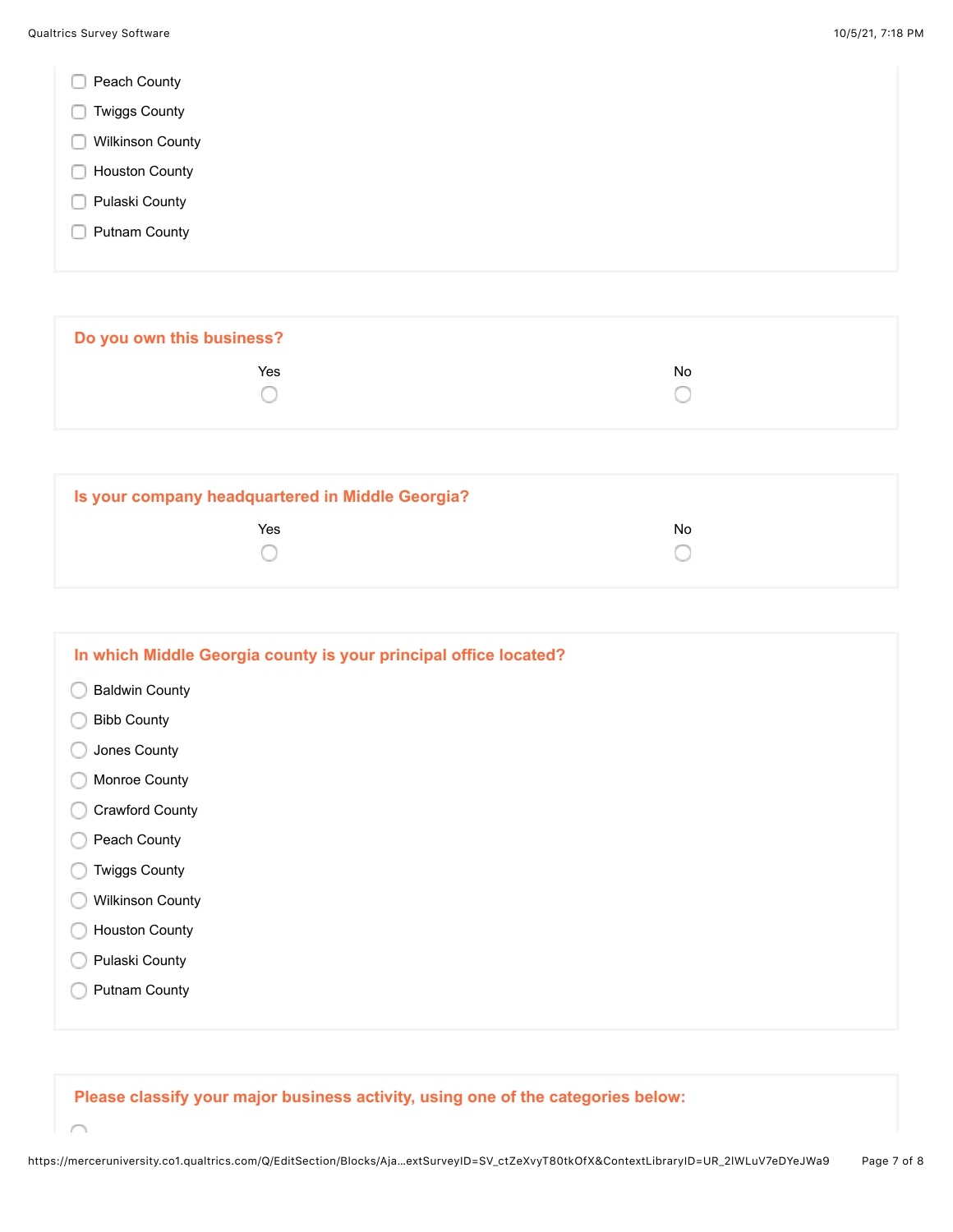- Peach County
- **Twiggs County**
- **Wilkinson County**
- **Houston County**
- **Pulaski County**
- **Putnam County**

**Do you own this business? The Second Contract of the Second Contract Contract Contract Contract Contract Contract Contract Contract Contract Contract Contract Contract Contract Contract Contract Contract Contract Contract Contract Contract Contrac** 0 ∩

| Is your company headquartered in Middle Georgia? |     |
|--------------------------------------------------|-----|
| Yes                                              | No. |
|                                                  |     |

| In which Middle Georgia county is your principal office located? |
|------------------------------------------------------------------|
| <b>Baldwin County</b>                                            |
| <b>Bibb County</b>                                               |
| Jones County                                                     |
| Monroe County                                                    |
| <b>Crawford County</b>                                           |
| Peach County                                                     |
| <b>Twiggs County</b>                                             |
| <b>Wilkinson County</b>                                          |
| <b>Houston County</b>                                            |
| Pulaski County                                                   |
| <b>Putnam County</b>                                             |
|                                                                  |

**Please classify your major business activity, using one of the categories below:**

 $\curvearrowright$